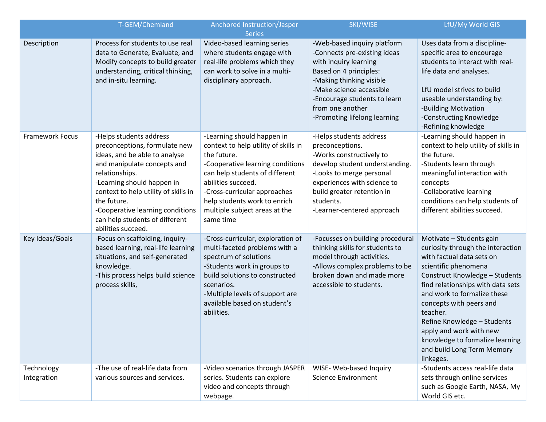|                           | T-GEM/Chemland                                                                                                                                                                                                                                                                                                              | Anchored Instruction/Jasper<br><b>Series</b>                                                                                                                                                                                                                                                | SKI/WISE                                                                                                                                                                                                                                                   | LfU/My World GIS                                                                                                                                                                                                                                                                                                                                                                                               |
|---------------------------|-----------------------------------------------------------------------------------------------------------------------------------------------------------------------------------------------------------------------------------------------------------------------------------------------------------------------------|---------------------------------------------------------------------------------------------------------------------------------------------------------------------------------------------------------------------------------------------------------------------------------------------|------------------------------------------------------------------------------------------------------------------------------------------------------------------------------------------------------------------------------------------------------------|----------------------------------------------------------------------------------------------------------------------------------------------------------------------------------------------------------------------------------------------------------------------------------------------------------------------------------------------------------------------------------------------------------------|
| Description               | Process for students to use real<br>data to Generate, Evaluate, and<br>Modify concepts to build greater<br>understanding, critical thinking,<br>and in-situ learning.                                                                                                                                                       | Video-based learning series<br>where students engage with<br>real-life problems which they<br>can work to solve in a multi-<br>disciplinary approach.                                                                                                                                       | -Web-based inquiry platform<br>-Connects pre-existing ideas<br>with inquiry learning<br>Based on 4 principles:<br>-Making thinking visible<br>-Make science accessible<br>-Encourage students to learn<br>from one another<br>-Promoting lifelong learning | Uses data from a discipline-<br>specific area to encourage<br>students to interact with real-<br>life data and analyses.<br>LfU model strives to build<br>useable understanding by:<br>-Building Motivation<br>-Constructing Knowledge<br>-Refining knowledge                                                                                                                                                  |
| Framework Focus           | -Helps students address<br>preconceptions, formulate new<br>ideas, and be able to analyse<br>and manipulate concepts and<br>relationships.<br>-Learning should happen in<br>context to help utility of skills in<br>the future.<br>-Cooperative learning conditions<br>can help students of different<br>abilities succeed. | -Learning should happen in<br>context to help utility of skills in<br>the future.<br>-Cooperative learning conditions<br>can help students of different<br>abilities succeed.<br>-Cross-curricular approaches<br>help students work to enrich<br>multiple subject areas at the<br>same time | -Helps students address<br>preconceptions.<br>-Works constructively to<br>develop student understanding.<br>-Looks to merge personal<br>experiences with science to<br>build greater retention in<br>students.<br>-Learner-centered approach               | -Learning should happen in<br>context to help utility of skills in<br>the future.<br>-Students learn through<br>meaningful interaction with<br>concepts<br>-Collaborative learning<br>conditions can help students of<br>different abilities succeed.                                                                                                                                                          |
| Key Ideas/Goals           | -Focus on scaffolding, inquiry-<br>based learning, real-life learning<br>situations, and self-generated<br>knowledge.<br>-This process helps build science<br>process skills,                                                                                                                                               | -Cross-curricular, exploration of<br>multi-faceted problems with a<br>spectrum of solutions<br>-Students work in groups to<br>build solutions to constructed<br>scenarios.<br>-Multiple levels of support are<br>available based on student's<br>abilities.                                 | -Focusses on building procedural<br>thinking skills for students to<br>model through activities.<br>-Allows complex problems to be<br>broken down and made more<br>accessible to students.                                                                 | Motivate - Students gain<br>curiosity through the interaction<br>with factual data sets on<br>scientific phenomena<br><b>Construct Knowledge - Students</b><br>find relationships with data sets<br>and work to formalize these<br>concepts with peers and<br>teacher.<br>Refine Knowledge - Students<br>apply and work with new<br>knowledge to formalize learning<br>and build Long Term Memory<br>linkages. |
| Technology<br>Integration | -The use of real-life data from<br>various sources and services.                                                                                                                                                                                                                                                            | -Video scenarios through JASPER<br>series. Students can explore<br>video and concepts through<br>webpage.                                                                                                                                                                                   | WISE- Web-based Inquiry<br><b>Science Environment</b>                                                                                                                                                                                                      | -Students access real-life data<br>sets through online services<br>such as Google Earth, NASA, My<br>World GIS etc.                                                                                                                                                                                                                                                                                            |